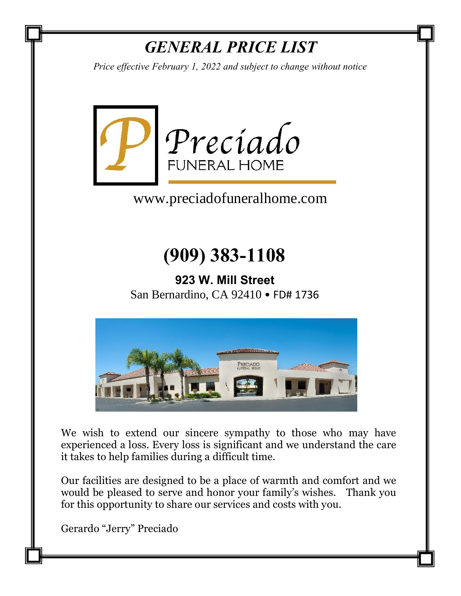# *GENERAL PRICE LIST*

*Price effective February 1, 2022 and subject to change without notice*



www.preciadofuneralhome.com

# **(909) 383-1108**

**923 W. Mill Street** San Bernardino, CA 92410 • FD# 1736



We wish to extend our sincere sympathy to those who may have experienced a loss. Every loss is significant and we understand the care it takes to help families during a difficult time.

Our facilities are designed to be a place of warmth and comfort and we would be pleased to serve and honor your family's wishes. Thank you for this opportunity to share our services and costs with you.

Gerardo "Jerry" Preciado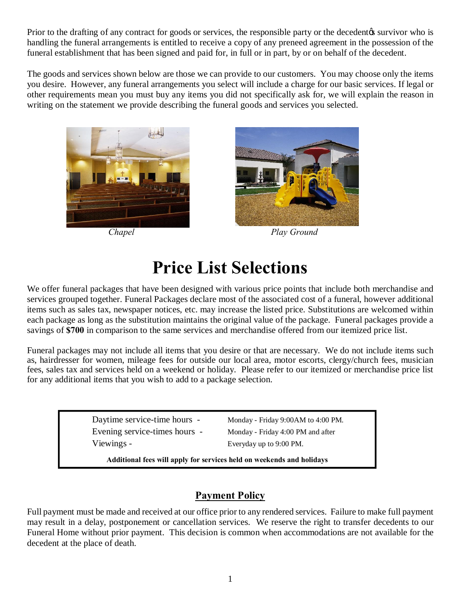Prior to the drafting of any contract for goods or services, the responsible party or the decedent is survivor who is handling the funeral arrangements is entitled to receive a copy of any preneed agreement in the possession of the funeral establishment that has been signed and paid for, in full or in part, by or on behalf of the decedent.

The goods and services shown below are those we can provide to our customers. You may choose only the items you desire. However, any funeral arrangements you select will include a charge for our basic services. If legal or other requirements mean you must buy any items you did not specifically ask for, we will explain the reason in writing on the statement we provide describing the funeral goods and services you selected.





*Chapel Play Ground*

# **Price List Selections**

We offer funeral packages that have been designed with various price points that include both merchandise and services grouped together. Funeral Packages declare most of the associated cost of a funeral, however additional items such as sales tax, newspaper notices, etc. may increase the listed price. Substitutions are welcomed within each package as long as the substitution maintains the original value of the package. Funeral packages provide a savings of **\$700** in comparison to the same services and merchandise offered from our itemized price list.

Funeral packages may not include all items that you desire or that are necessary. We do not include items such as, hairdresser for women, mileage fees for outside our local area, motor escorts, clergy/church fees, musician fees, sales tax and services held on a weekend or holiday. Please refer to our itemized or merchandise price list for any additional items that you wish to add to a package selection.

> Daytime service-time hours - Monday - Friday 9:00AM to 4:00 PM. Evening service-times hours - Monday - Friday 4:00 PM and after Viewings - Everyday up to 9:00 PM.

**Additional fees will apply for services held on weekends and holidays**

# **Payment Policy**

Full payment must be made and received at our office prior to any rendered services. Failure to make full payment may result in a delay, postponement or cancellation services. We reserve the right to transfer decedents to our Funeral Home without prior payment. This decision is common when accommodations are not available for the decedent at the place of death.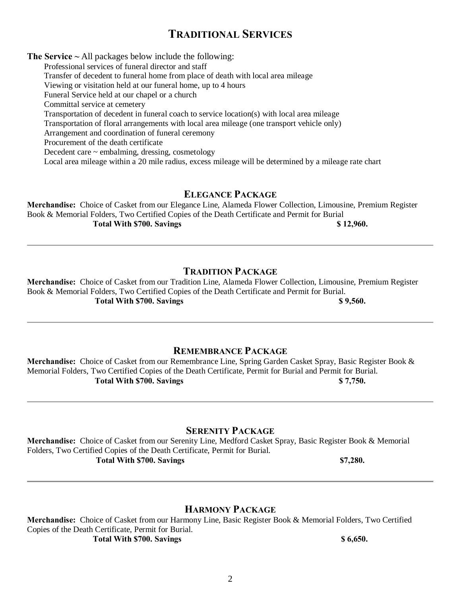# **TRADITIONAL SERVICES**

**The Service ~** All packages below include the following:

Professional services of funeral director and staff Transfer of decedent to funeral home from place of death with local area mileage Viewing or visitation held at our funeral home, up to 4 hours Funeral Service held at our chapel or a church Committal service at cemetery Transportation of decedent in funeral coach to service location(s) with local area mileage Transportation of floral arrangements with local area mileage (one transport vehicle only) Arrangement and coordination of funeral ceremony Procurement of the death certificate Decedent care ~ embalming, dressing, cosmetology Local area mileage within a 20 mile radius, excess mileage will be determined by a mileage rate chart

## **ELEGANCE PACKAGE**

**Merchandise:** Choice of Casket from our Elegance Line, Alameda Flower Collection, Limousine, Premium Register Book & Memorial Folders, Two Certified Copies of the Death Certificate and Permit for Burial **Total With \$700. Savings \$ 12,960.**

# **TRADITION PACKAGE**

**Merchandise:** Choice of Casket from our Tradition Line, Alameda Flower Collection, Limousine, Premium Register Book & Memorial Folders, Two Certified Copies of the Death Certificate and Permit for Burial. **Total With \$700. Savings \$ 9,560.** \$ 9,560.

# **REMEMBRANCE PACKAGE**

**Merchandise:** Choice of Casket from our Remembrance Line, Spring Garden Casket Spray, Basic Register Book & Memorial Folders, Two Certified Copies of the Death Certificate, Permit for Burial and Permit for Burial. **Total With \$700. Savings \$ 7,750.**

**SERENITY PACKAGE**

**Merchandise:** Choice of Casket from our Serenity Line, Medford Casket Spray, Basic Register Book & Memorial Folders, Two Certified Copies of the Death Certificate, Permit for Burial. **Total With \$700. Savings \$7,280.**

## **HARMONY PACKAGE**

**Merchandise:** Choice of Casket from our Harmony Line, Basic Register Book & Memorial Folders, Two Certified Copies of the Death Certificate, Permit for Burial. **Total With \$700. Savings \$ 6,650.** \$ 6,650.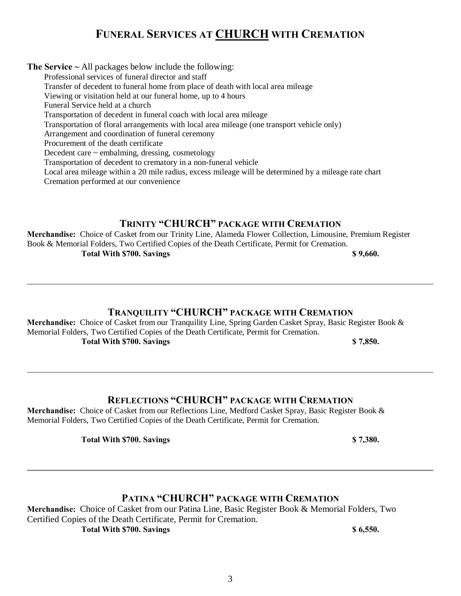# **FUNERAL SERVICES AT CHURCH WITH CREMATION**

**The Service ~** All packages below include the following: Professional services of funeral director and staff Transfer of decedent to funeral home from place of death with local area mileage Viewing or visitation held at our funeral home, up to 4 hours Funeral Service held at a church Transportation of decedent in funeral coach with local area mileage Transportation of floral arrangements with local area mileage (one transport vehicle only) Arrangement and coordination of funeral ceremony Procurement of the death certificate Decedent care  $\sim$  embalming, dressing, cosmetology Transportation of decedent to crematory in a non-funeral vehicle Local area mileage within a 20 mile radius, excess mileage will be determined by a mileage rate chart

Cremation performed at our convenience

#### **TRINITY "CHURCH" PACKAGE WITH CREMATION**

**Merchandise:** Choice of Casket from our Trinity Line, Alameda Flower Collection, Limousine, Premium Register Book & Memorial Folders, Two Certified Copies of the Death Certificate, Permit for Cremation.

**Total With \$700. Savings 6.60. \$2,660. \$2,660.** 

### **TRANQUILITY "CHURCH" PACKAGE WITH CREMATION**

**Merchandise:** Choice of Casket from our Tranquility Line, Spring Garden Casket Spray, Basic Register Book & Memorial Folders, Two Certified Copies of the Death Certificate, Permit for Cremation. **Total With \$700. Savings \$ 7,850.**

### **REFLECTIONS "CHURCH" PACKAGE WITH CREMATION**

**Merchandise:** Choice of Casket from our Reflections Line, Medford Casket Spray, Basic Register Book & Memorial Folders, Two Certified Copies of the Death Certificate, Permit for Cremation.

**Total With \$700. Savings \$ 7,380.**

# **PATINA "CHURCH" PACKAGE WITH CREMATION**

**Merchandise:** Choice of Casket from our Patina Line, Basic Register Book & Memorial Folders, Two Certified Copies of the Death Certificate, Permit for Cremation.

**Total With \$700. Savings 6,550. \$ 6,550.**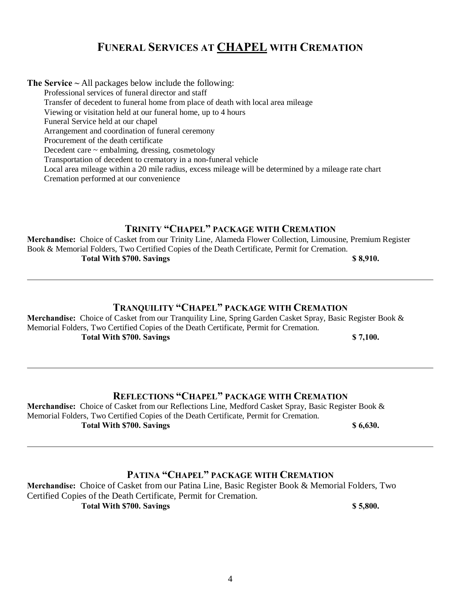# **FUNERAL SERVICES AT CHAPEL WITH CREMATION**

**The Service ~** All packages below include the following:

Professional services of funeral director and staff

Transfer of decedent to funeral home from place of death with local area mileage

Viewing or visitation held at our funeral home, up to 4 hours

Funeral Service held at our chapel

Arrangement and coordination of funeral ceremony

Procurement of the death certificate

Decedent care ~ embalming, dressing, cosmetology

Transportation of decedent to crematory in a non-funeral vehicle

Local area mileage within a 20 mile radius, excess mileage will be determined by a mileage rate chart

Cremation performed at our convenience

# **TRINITY "CHAPEL" PACKAGE WITH CREMATION**

**Merchandise:** Choice of Casket from our Trinity Line, Alameda Flower Collection, Limousine, Premium Register Book & Memorial Folders, Two Certified Copies of the Death Certificate, Permit for Cremation. **Total With \$700. Savings \$ 8,910.**

# **TRANQUILITY "CHAPEL" PACKAGE WITH CREMATION**

**Merchandise:** Choice of Casket from our Tranquility Line, Spring Garden Casket Spray, Basic Register Book & Memorial Folders, Two Certified Copies of the Death Certificate, Permit for Cremation. **Total With \$700. Savings \$ 7,100.**

# **REFLECTIONS "CHAPEL" PACKAGE WITH CREMATION**

**Merchandise:** Choice of Casket from our Reflections Line, Medford Casket Spray, Basic Register Book & Memorial Folders, Two Certified Copies of the Death Certificate, Permit for Cremation. **Total With \$700. Savings 86,630.** 

# **PATINA "CHAPEL" PACKAGE WITH CREMATION**

**Merchandise:** Choice of Casket from our Patina Line, Basic Register Book & Memorial Folders, Two Certified Copies of the Death Certificate, Permit for Cremation. **Total With \$700. Savings \$ 5,800.**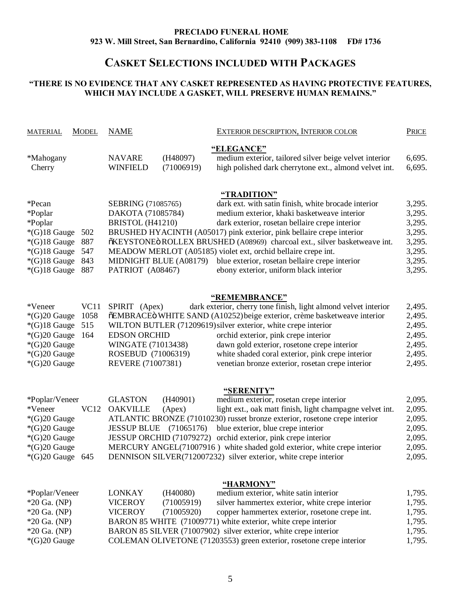#### **PRECIADO FUNERAL HOME 923 W. Mill Street, San Bernardino, California 92410 (909) 383-1108 FD# 1736**

# **CASKET SELECTIONS INCLUDED WITH PACKAGES**

#### **"THERE IS NO EVIDENCE THAT ANY CASKET REPRESENTED AS HAVING PROTECTIVE FEATURES, WHICH MAY INCLUDE A GASKET, WILL PRESERVE HUMAN REMAINS."**

| <b>MODEL</b><br><b>MATERIAL</b>                                                                                                                           | <b>NAME</b>                                                                                                  | <b>EXTERIOR DESCRIPTION, INTERIOR COLOR</b>                                                                                                                                                                                                                                                                                                                                                                                                                                            | <b>PRICE</b>                                                                 |
|-----------------------------------------------------------------------------------------------------------------------------------------------------------|--------------------------------------------------------------------------------------------------------------|----------------------------------------------------------------------------------------------------------------------------------------------------------------------------------------------------------------------------------------------------------------------------------------------------------------------------------------------------------------------------------------------------------------------------------------------------------------------------------------|------------------------------------------------------------------------------|
| *Mahogany<br>Cherry                                                                                                                                       | <b>NAVARE</b><br>(H48097)<br><b>WINFIELD</b><br>(71006919)                                                   | "ELEGANCE"<br>medium exterior, tailored silver beige velvet interior<br>high polished dark cherrytone ext., almond velvet int.                                                                                                                                                                                                                                                                                                                                                         | 6,695.<br>6,695.                                                             |
| *Pecan<br>*Poplar<br>*Poplar<br>$*(G)18$ Gauge<br>502<br>$*(G)18$ Gauge<br>887<br>$*(G)18$ Gauge<br>547<br>$*(G)18$ Gauge<br>843<br>$*(G)18$ Gauge<br>887 | SEBRING (71085765)<br>DAKOTA (71085784)<br>BRISTOL (H41210)<br>MIDNIGHT BLUE (A08179)<br>PATRIOT (A08467)    | "TRADITION"<br>dark ext. with satin finish, white brocade interior<br>medium exterior, khaki basketweave interior<br>dark exterior, rosetan bellaire crepe interior<br>BRUSHED HYACINTH (A05017) pink exterior, pink bellaire crepe interior<br>õKEYSTONEö ROLLEX BRUSHED (A08969) charcoal ext., silver basketweave int.<br>MEADOW MERLOT (A05185) violet ext, orchid bellaire crepe int.<br>blue exterior, rosetan bellaire crepe interior<br>ebony exterior, uniform black interior | 3,295.<br>3,295.<br>3,295.<br>3,295.<br>3,295.<br>3,295.<br>3,295.<br>3,295. |
| *Veneer<br>VC11<br>1058<br>$*(G)20$ Gauge<br>$*(G)18$ Gauge<br>515<br>$*(G)20$ Gauge<br>164<br>$*(G)20$ Gauge<br>$*(G)20$ Gauge<br>$*(G)20$ Gauge         | SPIRIT (Apex)<br><b>EDSON ORCHID</b><br>WINGATE (71013438)<br>ROSEBUD (71006319)<br><b>REVERE (71007381)</b> | "REMEMBRANCE"<br>dark exterior, cherry tone finish, light almond velvet interior<br>õEMBRACEÖ WHITE SAND (A10252) beige exterior, crème basketweave interior<br>WILTON BUTLER (71209619) silver exterior, white crepe interior<br>orchid exterior, pink crepe interior<br>dawn gold exterior, rosetone crepe interior<br>white shaded coral exterior, pink crepe interior<br>venetian bronze exterior, rosetan crepe interior                                                          | 2,495.<br>2,495.<br>2,495.<br>2,495.<br>2,495.<br>2,495.<br>2,495.           |
| *Poplar/Veneer<br>*Veneer<br>VC12<br>$*(G)20$ Gauge<br>$*(G)20$ Gauge<br>*(G)20 Gauge<br>$*(G)20$ Gauge<br>$*(G)20$ Gauge 645                             | <b>GLASTON</b><br>(H40901)<br><b>OAKVILLE</b><br>(Apex)<br><b>JESSUP BLUE</b><br>(71065176)                  | <u>"SERENITY"</u><br>medium exterior, rosetan crepe interior<br>light ext., oak matt finish, light champagne velvet int.<br>ATLANTIC BRONZE (71010230) russet bronze exterior, rosetone crepe interior<br>blue exterior, blue crepe interior<br>JESSUP ORCHID (71079272) orchid exterior, pink crepe interior<br>MERCURY ANGEL(71007916) white shaded gold exterior, white crepe interior<br>DENNISON SILVER(712007232) silver exterior, white crepe interior                          | 2,095.<br>2,095.<br>2,095.<br>2,095.<br>2,095.<br>2,095.<br>2,095.           |
| *Poplar/Veneer<br>$*20$ Ga. (NP)<br>$*20$ Ga. (NP)<br>$*20$ Ga. (NP)<br>$*20$ Ga. (NP)<br>$*(G)20$ Gauge                                                  | (H40080)<br><b>LONKAY</b><br><b>VICEROY</b><br>(71005919)<br><b>VICEROY</b><br>(71005920)                    | "HARMONY"<br>medium exterior, white satin interior<br>silver hammertex exterior, white crepe interior<br>copper hammertex exterior, rosetone crepe int.<br>BARON 85 WHITE (71009771) white exterior, white crepe interior<br>BARON 85 SILVER (71007902) silver exterior, white crepe interior<br>COLEMAN OLIVETONE (71203553) green exterior, rosetone crepe interior                                                                                                                  | 1,795.<br>1,795.<br>1,795.<br>1,795.<br>1,795.<br>1,795.                     |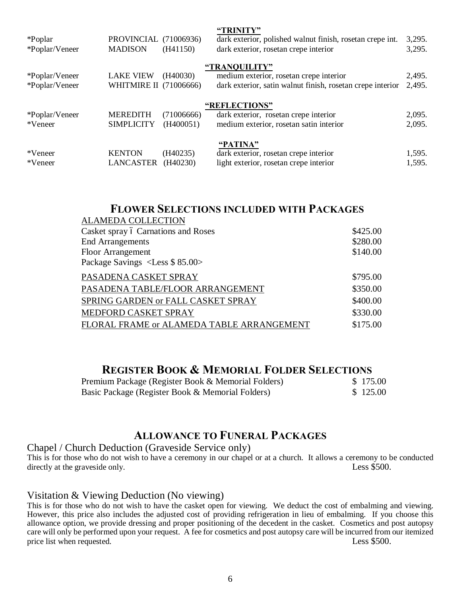| *Poplar<br>*Poplar/Veneer        | PROVINCIAL (71006936)<br><b>MADISON</b>    | (H41150)                | "TRINITY"<br>dark exterior, polished walnut finish, rosetan crepe int.<br>dark exterior, rosetan crepe interior        | 3,295.<br>3,295. |
|----------------------------------|--------------------------------------------|-------------------------|------------------------------------------------------------------------------------------------------------------------|------------------|
| *Poplar/Veneer<br>*Poplar/Veneer | <b>LAKE VIEW</b><br>WHITMIRE II (71006666) | (H40030)                | "TRANQUILITY"<br>medium exterior, rosetan crepe interior<br>dark exterior, satin walnut finish, rosetan crepe interior | 2,495.<br>2,495. |
| *Poplar/Veneer<br>*Veneer        | <b>MEREDITH</b><br><b>SIMPLICITY</b>       | (71006666)<br>(H400051) | "REFLECTIONS"<br>dark exterior, rosetan crepe interior<br>medium exterior, rosetan satin interior                      | 2,095.<br>2,095. |
| *Veneer<br>*Veneer               | <b>KENTON</b><br><b>LANCASTER</b>          | (H40235)<br>(H40230)    | "PATINA"<br>dark exterior, rosetan crepe interior<br>light exterior, rosetan crepe interior                            | 1,595.<br>1,595. |

**"TRINITY"**

# **FLOWER SELECTIONS INCLUDED WITH PACKAGES**

| <b>ALAMEDA COLLECTION</b>                 |          |
|-------------------------------------------|----------|
| Casket spray ó Carnations and Roses       | \$425.00 |
| <b>End Arrangements</b>                   | \$280.00 |
| <b>Floor Arrangement</b>                  | \$140.00 |
| Package Savings <less \$85.00=""></less>  |          |
| PASADENA CASKET SPRAY                     | \$795.00 |
| PASADENA TABLE/FLOOR ARRANGEMENT          | \$350.00 |
| SPRING GARDEN or FALL CASKET SPRAY        | \$400.00 |
| MEDFORD CASKET SPRAY                      | \$330.00 |
| FLORAL FRAME or ALAMEDA TABLE ARRANGEMENT | \$175.00 |

# **REGISTER BOOK & MEMORIAL FOLDER SELECTIONS**

| Premium Package (Register Book & Memorial Folders) | \$175.00 |
|----------------------------------------------------|----------|
| Basic Package (Register Book & Memorial Folders)   | \$125.00 |

# **ALLOWANCE TO FUNERAL PACKAGES**

#### Chapel / Church Deduction (Graveside Service only)

This is for those who do not wish to have a ceremony in our chapel or at a church. It allows a ceremony to be conducted directly at the graveside only. Less \$500.

#### Visitation & Viewing Deduction (No viewing)

This is for those who do not wish to have the casket open for viewing. We deduct the cost of embalming and viewing. However, this price also includes the adjusted cost of providing refrigeration in lieu of embalming. If you choose this allowance option, we provide dressing and proper positioning of the decedent in the casket. Cosmetics and post autopsy care will only be performed upon your request. A fee for cosmetics and post autopsy care will be incurred from our itemized price list when requested. Less \$500.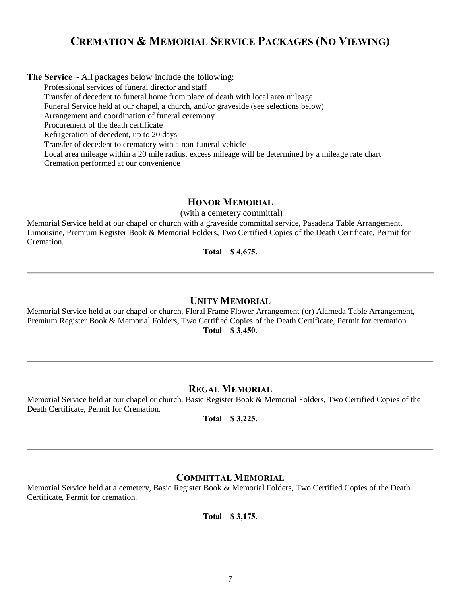# **CREMATION & MEMORIAL SERVICE PACKAGES (NO VIEWING)**

**The Service ~** All packages below include the following:

Professional services of funeral director and staff

Transfer of decedent to funeral home from place of death with local area mileage

Funeral Service held at our chapel, a church, and/or graveside (see selections below)

Arrangement and coordination of funeral ceremony

Procurement of the death certificate

Refrigeration of decedent, up to 20 days

Transfer of decedent to crematory with a non-funeral vehicle

Local area mileage within a 20 mile radius, excess mileage will be determined by a mileage rate chart Cremation performed at our convenience

#### **HONOR MEMORIAL**

(with a cemetery committal)

Memorial Service held at our chapel or church with a graveside committal service, Pasadena Table Arrangement, Limousine, Premium Register Book & Memorial Folders, Two Certified Copies of the Death Certificate, Permit for Cremation.

**Total \$ 4,675.**

#### **UNITY MEMORIAL**

Memorial Service held at our chapel or church, Floral Frame Flower Arrangement (or) Alameda Table Arrangement, Premium Register Book & Memorial Folders, Two Certified Copies of the Death Certificate, Permit for cremation. **Total \$ 3,450.**

#### **REGAL MEMORIAL**

Memorial Service held at our chapel or church, Basic Register Book & Memorial Folders, Two Certified Copies of the Death Certificate, Permit for Cremation.

**Total \$ 3,225.**

## **COMMITTAL MEMORIAL**

Memorial Service held at a cemetery, Basic Register Book & Memorial Folders, Two Certified Copies of the Death Certificate, Permit for cremation.

**Total \$ 3,175.**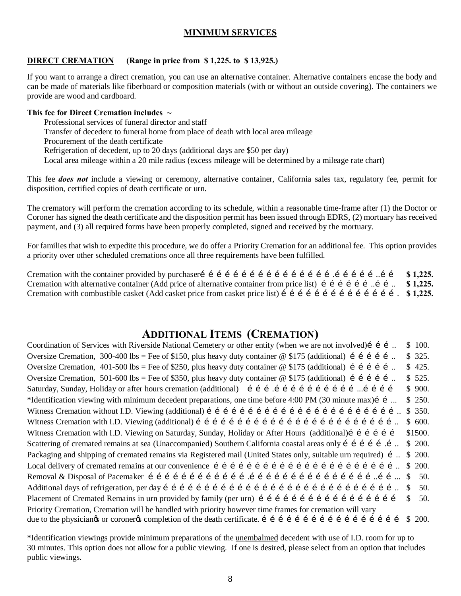### **MINIMUM SERVICES**

#### **DIRECT CREMATION (Range in price from \$ 1,225. to \$ 13,925.)**

If you want to arrange a direct cremation, you can use an alternative container. Alternative containers encase the body and can be made of materials like fiberboard or composition materials (with or without an outside covering). The containers we provide are wood and cardboard.

#### **This fee for Direct Cremation includes ~**

Professional services of funeral director and staff

Transfer of decedent to funeral home from place of death with local area mileage

Procurement of the death certificate

Refrigeration of decedent, up to 20 days (additional days are \$50 per day)

Local area mileage within a 20 mile radius (excess mileage will be determined by a mileage rate chart)

This fee *does not* include a viewing or ceremony, alternative container, California sales tax, regulatory fee, permit for disposition, certified copies of death certificate or urn.

The crematory will perform the cremation according to its schedule, within a reasonable time-frame after (1) the Doctor or Coroner has signed the death certificate and the disposition permit has been issued through EDRS, (2) mortuary has received payment, and (3) all required forms have been properly completed, signed and received by the mortuary.

For families that wish to expedite this procedure, we do offer a Priority Cremation for an additional fee. This option provides a priority over other scheduled cremations once all three requirements have been fulfilled.

Cremation with the container provided by purchaser………………………………………….……………..…… **\$ 1,225.** Cremation with alternative container (Add price of alternative container from price list) i i i i i i i i. **\$ 1,225.** Cremation with combustible casket (Add casket price from casket price list) i i i i i i i i i i i i i i i s 1,225.

# **ADDITIONAL ITEMS (CREMATION)**

Coordination of Services with Riverside National Cemetery or other entity (when we are not involved) i i i  $\therefore$  \$ 100. Oversize Cremation, 300-400 lbs = Fee of \$150, plus heavy duty container @ \$175 (additional) i i i i i ... \$ 325. Oversize Cremation,  $401-500$  lbs = Fee of \$250, plus heavy duty container @ \$175 (additional) i i i i i ... \$ 425. Oversize Cremation, 501-600 lbs = Fee of \$350, plus heavy duty container @ \$175 (additional) i i i i i ... \$ 525. Saturday, Sunday, Holiday or after hours cremation (additional) i i i i i i i i i i i i i i i i i s 900. \*Identification viewing with minimum decedent preparations, one time before 4:00 PM (30 minute max)……... \$ 250. Witness Cremation without I.D. Viewing (additional)  $f \in f \in f \in f \in f \in f \in f \in f \in f \in f \in f \in f \in g$  350. Witness Cremation with I.D. Viewing (additional) ……………………………………………………………….. \$ 600. Witness Cremation with I.D. Viewing on Saturday, Sunday, Holiday or After Hours (additional) i i i i i s1500. Scattering of cremated remains at sea (Unaccompanied) Southern California coastal areas only i i i i i i. \$ 200. Packaging and shipping of cremated remains via Registered mail (United States only, suitable urn required) í ... \$ 200. Local delivery of cremated remains at our convenience  $f \in f \in f \in f \in f \in f \in f \in f \in f \in f \in f \in g$  200. Removal & Disposal of Pacemaker ……………………………….………………………………………..……... \$ 50. Additional days of refrigeration, per day ………………………………………………………………………….. \$ 50. Placement of Cremated Remains in urn provided by family (per urn) i i i i i i i i i i i i i i i i i i s  $\frac{1}{2}$ Priority Cremation, Cremation will be handled with priority however time frames for cremation will vary due to the physiciangs or coronergs completion of the death certificate. i i i i i i i i i i i i i i i i i s  $\geq 200$ .

\*Identification viewings provide minimum preparations of the unembalmed decedent with use of I.D. room for up to 30 minutes. This option does not allow for a public viewing. If one is desired, please select from an option that includes public viewings.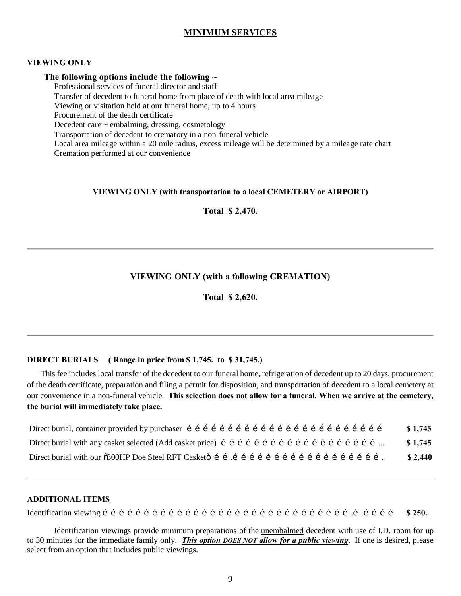#### **MINIMUM SERVICES**

#### **VIEWING ONLY**

#### **The following options include the following ~**

Professional services of funeral director and staff

Transfer of decedent to funeral home from place of death with local area mileage

Viewing or visitation held at our funeral home, up to 4 hours

Procurement of the death certificate

Decedent care ~ embalming, dressing, cosmetology

Transportation of decedent to crematory in a non-funeral vehicle

Local area mileage within a 20 mile radius, excess mileage will be determined by a mileage rate chart Cremation performed at our convenience

#### **VIEWING ONLY (with transportation to a local CEMETERY or AIRPORT)**

**Total \$ 2,470.**

#### **VIEWING ONLY (with a following CREMATION)**

**Total \$ 2,620.**

#### **DIRECT BURIALS ( Range in price from \$ 1,745. to \$ 31,745.)**

This fee includes local transfer of the decedent to our funeral home, refrigeration of decedent up to 20 days, procurement of the death certificate, preparation and filing a permit for disposition, and transportation of decedent to a local cemetery at our convenience in a non-funeral vehicle. **This selection does not allow for a funeral. When we arrive at the cemetery, the burial will immediately take place.**

| \$1,745 |
|---------|
| \$1,745 |
| \$2,440 |

#### **ADDITIONAL ITEMS**

Identification viewing ……………………………………………………………………………….….………… **\$ 250.**

Identification viewings provide minimum preparations of the unembalmed decedent with use of I.D. room for up to 30 minutes for the immediate family only. *This option DOES NOT allow for a public viewing*. If one is desired, please select from an option that includes public viewings.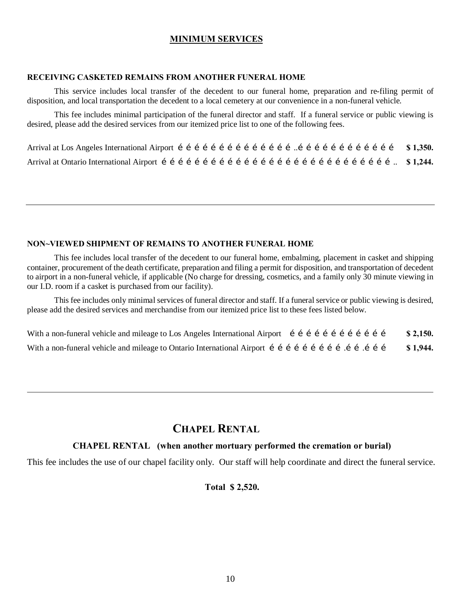#### **MINIMUM SERVICES**

#### **RECEIVING CASKETED REMAINS FROM ANOTHER FUNERAL HOME**

This service includes local transfer of the decedent to our funeral home, preparation and re-filing permit of disposition, and local transportation the decedent to a local cemetery at our convenience in a non-funeral vehicle.

This fee includes minimal participation of the funeral director and staff. If a funeral service or public viewing is desired, please add the desired services from our itemized price list to one of the following fees.

#### **NON~VIEWED SHIPMENT OF REMAINS TO ANOTHER FUNERAL HOME**

This fee includes local transfer of the decedent to our funeral home, embalming, placement in casket and shipping container, procurement of the death certificate, preparation and filing a permit for disposition, and transportation of decedent to airport in a non-funeral vehicle, if applicable (No charge for dressing, cosmetics, and a family only 30 minute viewing in our I.D. room if a casket is purchased from our facility).

This fee includes only minimal services of funeral director and staff. If a funeral service or public viewing is desired, please add the desired services and merchandise from our itemized price list to these fees listed below.

| With a non-funeral vehicle and mileage to Los Angeles International Airport $f \in f$ is $f \in f$ if $f \in f$ if $f$ | \$2,150. |
|------------------------------------------------------------------------------------------------------------------------|----------|
| With a non-funeral vehicle and mileage to Ontario International Airport i i i i i i i i i i i i i i i i i              | \$1,944. |

# **CHAPEL RENTAL**

#### **CHAPEL RENTAL (when another mortuary performed the cremation or burial)**

This fee includes the use of our chapel facility only. Our staff will help coordinate and direct the funeral service.

#### **Total \$ 2,520.**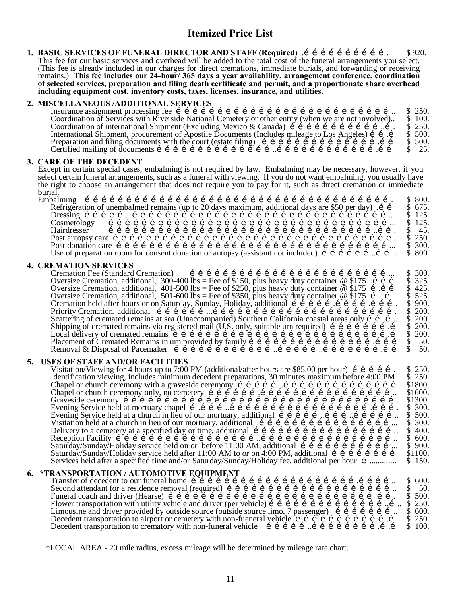# **Itemized Price List**

**1. BASIC SERVICES OF FUNERAL DIRECTOR AND STAFF (Required)** in interest in the second service  $\frac{1}{2}$ This fee for our basic services and overhead will be added to the total cost of the funeral arrangements you select. (This fee is already included in our charges for direct cremations, immediate burials, and forwarding or receiving remains.) **This fee includes our 24-hour/ 365 days a year availability, arrangement conference, coordination of selected services, preparation and filing death certificate and permit, and a proportionate share overhead including equipment cost, inventory costs, taxes, licenses, insurance, and utilities.**

#### **2. MISCELLANEOUS /ADDITIONAL SERVICES**

Insurance assignment processing fee …………………………………………………………………….. \$ 250. Coordination of Services with Riverside National Cemetery or other entity (when we are not involved).. \$ 100. Coordination of international Shipment (Excluding Mexico & Canada) ……………………………..…. \$ 250. International Shipment, procurement of Apostile Documents (Includes mileage to Los Angeles) …….… \$ 500. Preparation and filing documents with the court (estate filing) …………………………………….…… \$ 500. Certified mailing of documents ……………………………………..……………………………….…… \$ 25.

#### **3. CARE OF THE DECEDENT**

Except in certain special cases, embalming is not required by law. Embalming may be necessary, however, if you select certain funeral arrangements, such as a funeral with viewing. If you do not want embalming, you usually have the right to choose an arrangement that does not require you to pay for it, such as direct cremation or immediate burial.

Embalming …………………………………………………………………………………………………. \$ 800. Refrigeration of unembalmed remains (up to 20 days maximum, additional days are \$50 per day) .…… \$ 675. Dressing ……………...………………………………………………………………………………….. \$ 125. Cosmetology …………………………………………………………………………………………... \$ 125. Hairdresser ……………………………………………………………………………………..……. \$ 45. Post autopsy care …………………………………………………………………………………………. \$ 250. Post donation care ………………………………………………………………………………………... \$ 300. Use of preparation room for consent donation or autopsy (assistant not included) ………………..…….. \$ 800.

**4. CREMATION SERVICES** Cremation Fee (Standard Cremation) ………………………………………………………………... \$ 300. Oversize Cremation, additional, 300-400 lbs = Fee of \$150, plus heavy duty container @ \$175 ……… \$ 325. Oversize Cremation, additional, 401-500 lbs = Fee of \$250, plus heavy duty container @ \$175 ….…… \$ 425. Oversize Cremation, additional, 501-600 lbs = Fee of \$350, plus heavy duty container @ \$175 …...…. \$ 525. Cremation held after hours or on Saturday, Sunday, Holiday, additional …………….………….………. \$ 900. Priority Cremation, additional ………………...…………………………………………………………. \$ 200. Scattering of cremated remains at sea (Unaccompanied) Southern California coastal areas only …….….. \$ 200. Shipping of cremated remains via registered mail (U.S. only, suitable urn required) ………………….… \$ 200. Local delivery of cremated remains …………………………………………………………………….… \$ 200. Placement of Cremated Remains in urn provided by family ……………………………………….……… \$ 50. Removal & Disposal of Pacemaker ………………………………..……………..………………….…… \$ 50.

**5.** USES OF STAFF AND/OR FACILITIES<br>Visitation/Viewing for 4 hours up to 7:00 PM (additional/after hours are \$85.00 per hour) i i i i i. Visitation/Viewing for 4 hours up to 7:00 PM (additional/after hours are \$85.00 per hour) ……………. \$ 250. Identification viewing, includes minimum decedent preparations, 30 minutes maximum before 4:00 PM \$ 250. Chapel or church ceremony with a graveside ceremony ……………..…………………………………… \$1800. Chapel or church ceremony only, no cemetery ……………….………………………………………….. \$1600. Graveside ceremony ………………………………………………………………………………………. \$1300. Evening Service held at mortuary chapel ….………..…………………………………………….………. \$ 300. Evening Service held at a church in lieu of our mortuary, additional ……………..………..…………….. \$ 500. Visitation held at a church in lieu of our mortuary, additional .…………………………………………... \$ 300. Delivery to a cemetery at a specified day or time, additional …………………………………………….. \$ 400. Reception Facility ……………………………………………..………………………………………….. \$ 600. Saturday/Sunday/Holiday service held on or before 11:00 AM, additional ……………………………... \$ 900. Saturday/Sunday/Holiday service held after 11:00 AM to or on 4:00 PM, additional …………………… \$1100. Services held after a specified time and/or Saturday/Sunday/Holiday fee, additional per hour …............. \$ 150.

#### **6. \*TRANSPORTATION / AUTOMOTIVE EQUIPMENT**

|                                                                                                             | \$600. |
|-------------------------------------------------------------------------------------------------------------|--------|
|                                                                                                             | \$50.  |
|                                                                                                             | \$500. |
| Flower transportation with utility vehicle and driver (per vehicle) i i i i i i i i i i i i i i i i \$ 250. |        |
| Limousine and driver provided by outside source (outside source limo, 7 passenger) i i i i i i i i          | \$600. |
| Decedent transportation to airport or cemetery with non-fueneral vehicle i i i i i i i i i i i i i i        | \$250. |
| Decedent transportation to crematory with non-funeral vehicle i i i i i i i i i i i i i i i i i i           | \$100. |

\*LOCAL AREA - 20 mile radius, excess mileage will be determined by mileage rate chart.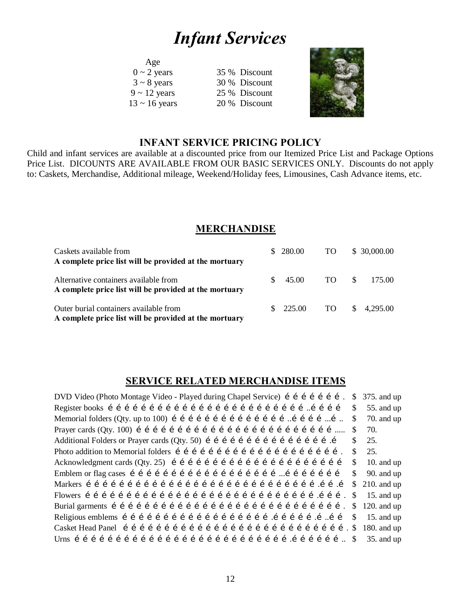# *Infant Services*

| Age                |               |
|--------------------|---------------|
| $0 \sim 2$ years   | 35 % Discount |
| $3 \sim 8$ years   | 30 % Discount |
| $9 \sim 12$ years  | 25 % Discount |
| $13 \sim 16$ years | 20 % Discount |
|                    |               |



# **INFANT SERVICE PRICING POLICY**

Child and infant services are available at a discounted price from our Itemized Price List and Package Options Price List. DICOUNTS ARE AVAILABLE FROM OUR BASIC SERVICES ONLY. Discounts do not apply to: Caskets, Merchandise, Additional mileage, Weekend/Holiday fees, Limousines, Cash Advance items, etc.

# **MERCHANDISE**

| Caskets available from<br>A complete price list will be provided at the mortuary                 |     | \$ 280.00 | TO. | \$30,000.00            |
|--------------------------------------------------------------------------------------------------|-----|-----------|-----|------------------------|
| Alternative containers available from<br>A complete price list will be provided at the mortuary  | S.  | 45.00     | TO. | -SS<br>175.00          |
| Outer burial containers available from<br>A complete price list will be provided at the mortuary | SS. | 225.00    | TO. | $\frac{$}{9}$ 4,295.00 |

# **SERVICE RELATED MERCHANDISE ITEMS**

| DVD Video (Photo Montage Video - Played during Chapel Service) í í í í í í í í .                                                                                                                                                          | \$  | $375.$ and up  |
|-------------------------------------------------------------------------------------------------------------------------------------------------------------------------------------------------------------------------------------------|-----|----------------|
|                                                                                                                                                                                                                                           | S.  | 55. and up     |
| Memorial folders (Qty. up to 100) $\hat{i}$ $\hat{j}$ $\hat{i}$ $\hat{j}$ $\hat{i}$ $\hat{j}$ $\hat{i}$ $\hat{j}$ $\hat{i}$ $\hat{j}$ $\hat{j}$ $\hat{k}$ $\hat{i}$ $\hat{j}$ $\hat{k}$ $\hat{j}$ $\hat{k}$ $\hat{k}$ $\hat{k}$ $\hat{k}$ | \$. | $70.$ and up   |
|                                                                                                                                                                                                                                           | \$  | 70.            |
|                                                                                                                                                                                                                                           | \$. | 25.            |
|                                                                                                                                                                                                                                           | \$. | 25.            |
|                                                                                                                                                                                                                                           | \$  | 10. and $up$   |
|                                                                                                                                                                                                                                           | \$. | $90.$ and up   |
|                                                                                                                                                                                                                                           |     | $$210.$ and up |
|                                                                                                                                                                                                                                           | \$  | 15. and $up$   |
|                                                                                                                                                                                                                                           | \$  | 120. and $up$  |
|                                                                                                                                                                                                                                           | \$. | 15. and $up$   |
|                                                                                                                                                                                                                                           |     | 180. and $up$  |
|                                                                                                                                                                                                                                           |     | $35.$ and up   |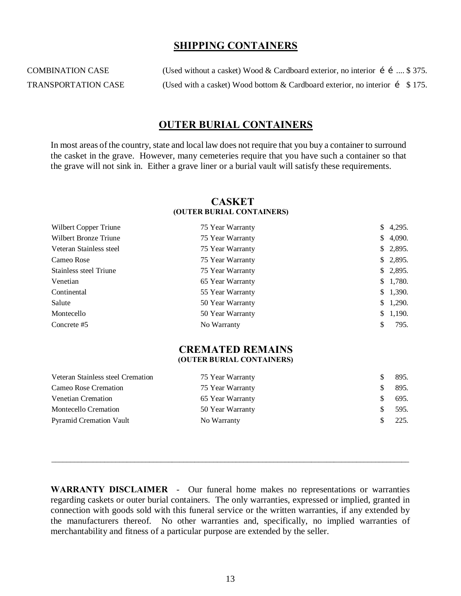### **SHIPPING CONTAINERS**

COMBINATION CASE (Used without a casket) Wood & Cardboard exterior, no interior  $\hat{i}$  i .... \$ 375. TRANSPORTATION CASE (Used with a casket) Wood bottom & Cardboard exterior, no interior  $\int$  \$175.

## **OUTER BURIAL CONTAINERS**

In most areas of the country, state and local law does not require that you buy a container to surround the casket in the grave. However, many cemeteries require that you have such a container so that the grave will not sink in. Either a grave liner or a burial vault will satisfy these requirements.

#### **CASKET (OUTER BURIAL CONTAINERS)**

| Wilbert Copper Triune   | 75 Year Warranty | \$4,295. |
|-------------------------|------------------|----------|
| Wilbert Bronze Triune   | 75 Year Warranty | \$4,090. |
| Veteran Stainless steel | 75 Year Warranty | \$2,895. |
| Cameo Rose              | 75 Year Warranty | \$2,895. |
| Stainless steel Triune  | 75 Year Warranty | \$2,895. |
| Venetian                | 65 Year Warranty | \$1,780. |
| Continental             | 55 Year Warranty | \$1,390. |
| Salute                  | 50 Year Warranty | \$1,290. |
| Montecello              | 50 Year Warranty | \$1,190. |
| Concrete #5             | No Warranty      | 795.     |

#### **CREMATED REMAINS (OUTER BURIAL CONTAINERS)**

| Veteran Stainless steel Cremation | 75 Year Warranty | 895. |
|-----------------------------------|------------------|------|
| Cameo Rose Cremation              | 75 Year Warranty | 895. |
| Venetian Cremation                | 65 Year Warranty | 695. |
| <b>Montecello Cremation</b>       | 50 Year Warranty | 595. |
| <b>Pyramid Cremation Vault</b>    | No Warranty      | 225. |

**WARRANTY DISCLAIMER** - Our funeral home makes no representations or warranties regarding caskets or outer burial containers. The only warranties, expressed or implied, granted in connection with goods sold with this funeral service or the written warranties, if any extended by the manufacturers thereof. No other warranties and, specifically, no implied warranties of merchantability and fitness of a particular purpose are extended by the seller.

 $\_$  ,  $\_$  ,  $\_$  ,  $\_$  ,  $\_$  ,  $\_$  ,  $\_$  ,  $\_$  ,  $\_$  ,  $\_$  ,  $\_$  ,  $\_$  ,  $\_$  ,  $\_$  ,  $\_$  ,  $\_$  ,  $\_$  ,  $\_$  ,  $\_$  ,  $\_$  ,  $\_$  ,  $\_$  ,  $\_$  ,  $\_$  ,  $\_$  ,  $\_$  ,  $\_$  ,  $\_$  ,  $\_$  ,  $\_$  ,  $\_$  ,  $\_$  ,  $\_$  ,  $\_$  ,  $\_$  ,  $\_$  ,  $\_$  ,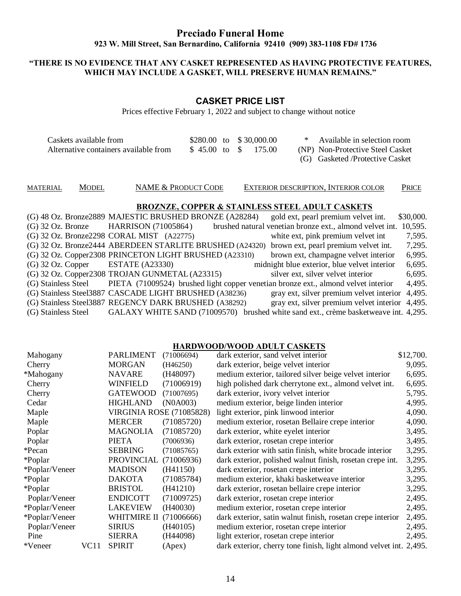# **Preciado Funeral Home 923 W. Mill Street, San Bernardino, California 92410 (909) 383-1108 FD# 1736**

#### **"THERE IS NO EVIDENCE THAT ANY CASKET REPRESENTED AS HAVING PROTECTIVE FEATURES, WHICH MAY INCLUDE A GASKET, WILL PRESERVE HUMAN REMAINS."**

### **CASKET PRICE LIST**

Prices effective February 1, 2022 and subject to change without notice

| Caskets available from                | $$280.00$ to $$30,000.00$ |  |  | * Available in selection room    |
|---------------------------------------|---------------------------|--|--|----------------------------------|
| Alternative containers available from | \$45.00 to \$175.00       |  |  | (NP) Non-Protective Steel Casket |
|                                       |                           |  |  | (G) Gasketed/Protective Casket   |

MATERIAL MODEL NAME & PRODUCT CODE EXTERIOR DESCRIPTION, INTERIOR COLOR PRICE

#### **BROZNZE, COPPER & STAINLESS STEEL ADULT CASKETS**

|                                       | (G) 48 Oz. Bronze2889 MAJESTIC BRUSHED BRONZE (A28284)                             | gold ext, pearl premium velvet int.                                                 | \$30,000. |
|---------------------------------------|------------------------------------------------------------------------------------|-------------------------------------------------------------------------------------|-----------|
|                                       | (G) 32 Oz. Bronze HARRISON (71005864)                                              | brushed natural venetian bronze ext., almond velvet int.                            | 10,595.   |
|                                       | (G) 32 Oz. Bronze2298 CORAL MIST (A22775)                                          | white ext, pink premium velvet int                                                  | 7,595.    |
|                                       | (G) 32 Oz. Bronze2444 ABERDEEN STARLITE BRUSHED (A24320)                           | brown ext, pearl premium velvet int.                                                | 7,295.    |
|                                       | (G) 32 Oz. Copper2308 PRINCETON LIGHT BRUSHED (A23310)                             | brown ext, champagne velvet interior                                                | 6,995.    |
| $(G)$ 32 Oz. Copper ESTATE $(A23330)$ |                                                                                    | midnight blue exterior, blue velvet interior                                        | 6,695.    |
|                                       | (G) 32 Oz. Copper2308 TROJAN GUNMETAL (A23315)                                     | silver ext, silver velvet interior                                                  | 6,695.    |
| (G) Stainless Steel                   | PIETA (71009524) brushed light copper venetian bronze ext., almond velvet interior |                                                                                     | 4,495.    |
|                                       | (G) Stainless Steel3887 CASCADE LIGHT BRUSHED (A38236)                             | gray ext, silver premium velvet interior                                            | 4,495.    |
|                                       | (G) Stainless Steel3887 REGENCY DARK BRUSHED (A38292)                              | gray ext, silver premium velvet interior 4,495.                                     |           |
| (G) Stainless Steel                   |                                                                                    | GALAXY WHITE SAND (71009570) brushed white sand ext., crème basketweave int. 4,295. |           |

#### **HARDWOOD/WOOD ADULT CASKETS**

| Mahogany       |      | <b>PARLIMENT</b>                | (71006694) | dark exterior, sand velvet interior                                | \$12,700. |
|----------------|------|---------------------------------|------------|--------------------------------------------------------------------|-----------|
| Cherry         |      | <b>MORGAN</b>                   | (H46250)   | dark exterior, beige velvet interior                               | 9,095.    |
| *Mahogany      |      | <b>NAVARE</b>                   | (H48097)   | medium exterior, tailored silver beige velvet interior             | 6,695.    |
| Cherry         |      | <b>WINFIELD</b>                 | (71006919) | high polished dark cherrytone ext., almond velvet int.             | 6,695.    |
| Cherry         |      | <b>GATEWOOD</b>                 | (71007695) | dark exterior, ivory velvet interior                               | 5,795.    |
| Cedar          |      | <b>HIGHLAND</b>                 | (N0A003)   | medium exterior, beige linden interior                             | 4,995.    |
| Maple          |      | <b>VIRGINIA ROSE (71085828)</b> |            | light exterior, pink linwood interior                              | 4,090.    |
| Maple          |      | <b>MERCER</b>                   | (71085720) | medium exterior, rosetan Bellaire crepe interior                   | 4,090.    |
| Poplar         |      | <b>MAGNOLIA</b>                 | (71085720) | dark exterior, white eyelet interior                               | 3,495.    |
| Poplar         |      | <b>PIETA</b>                    | (7006936)  | dark exterior, rosetan crepe interior                              | 3,495.    |
| *Pecan         |      | <b>SEBRING</b>                  | (71085765) | dark exterior with satin finish, white brocade interior            | 3,295.    |
| *Poplar        |      | <b>PROVINCIAL</b>               | (71006936) | dark exterior, polished walnut finish, rosetan crepe int.          | 3,295.    |
| *Poplar/Veneer |      | <b>MADISON</b>                  | (H41150)   | dark exterior, rosetan crepe interior                              | 3,295.    |
| *Poplar        |      | <b>DAKOTA</b>                   | (71085784) | medium exterior, khaki basketweave interior                        | 3,295.    |
| *Poplar        |      | <b>BRISTOL</b>                  | (H41210)   | dark exterior, rosetan bellaire crepe interior                     | 3,295.    |
| Poplar/Veneer  |      | <b>ENDICOTT</b>                 | (71009725) | dark exterior, rosetan crepe interior                              | 2,495.    |
| *Poplar/Veneer |      | <b>LAKEVIEW</b>                 | (H40030)   | medium exterior, rosetan crepe interior                            | 2,495.    |
| *Poplar/Veneer |      | WHITMIRE II                     | (71006666) | dark exterior, satin walnut finish, rosetan crepe interior         | 2,495.    |
| Poplar/Veneer  |      | <b>SIRIUS</b>                   | (H40105)   | medium exterior, rosetan crepe interior                            | 2,495.    |
| Pine           |      | <b>SIERRA</b>                   | (H44098)   | light exterior, rosetan crepe interior                             | 2,495.    |
| *Veneer        | VC11 | <b>SPIRIT</b>                   | (Apex)     | dark exterior, cherry tone finish, light almond velvet int. 2,495. |           |
|                |      |                                 |            |                                                                    |           |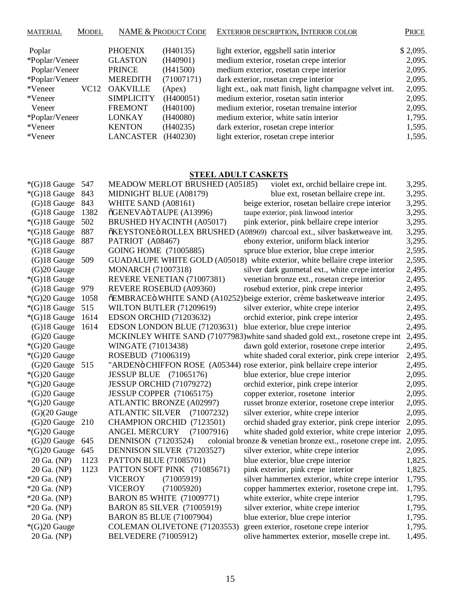| <b>MATERIAL</b> | <b>MODEL</b>     | <b>NAME &amp; PRODUCT CODE</b> |            | EXTERIOR DESCRIPTION, INTERIOR COLOR                     |          |
|-----------------|------------------|--------------------------------|------------|----------------------------------------------------------|----------|
| Poplar          |                  | <b>PHOENIX</b>                 | (H40135)   | light exterior, eggshell satin interior                  | \$2,095. |
| *Poplar/Veneer  |                  | <b>GLASTON</b>                 | (H40901)   | medium exterior, rosetan crepe interior                  | 2,095.   |
| Poplar/Veneer   |                  | <b>PRINCE</b>                  | (H41500)   | medium exterior, rosetan crepe interior                  | 2,095.   |
| *Poplar/Veneer  |                  | <b>MEREDITH</b>                | (71007171) | dark exterior, rosetan crepe interior                    | 2,095.   |
| *Veneer         | VC <sub>12</sub> | <b>OAKVILLE</b>                | (Apex)     | light ext., oak matt finish, light champagne velvet int. | 2,095.   |
| *Veneer         |                  | <b>SIMPLICITY</b>              | (H400051)  | medium exterior, rosetan satin interior                  | 2,095.   |
| Veneer          |                  | <b>FREMONT</b>                 | (H40100)   | medium exterior, rosetan tremaine interior               | 2,095.   |
| *Poplar/Veneer  |                  | <b>LONKAY</b>                  | (H40080)   | medium exterior, white satin interior                    | 1,795.   |
| *Veneer         |                  | <b>KENTON</b>                  | (H40235)   | dark exterior, rosetan crepe interior                    | 1,595.   |
| *Veneer         |                  | <b>LANCASTER</b>               | (H40230)   | light exterior, rosetan crepe interior                   | 1,595.   |

## **STEEL ADULT CASKETS**

| $*(G)18$ Gauge  | 547  | MEADOW MERLOT BRUSHED (A05185)       | violet ext, orchid bellaire crepe int.                                         | 3,295. |
|-----------------|------|--------------------------------------|--------------------------------------------------------------------------------|--------|
| $*(G)18$ Gauge  | 843  | MIDNIGHT BLUE (A08179)               | blue ext, rosetan bellaire crepe int.                                          | 3,295. |
| $(G)18$ Gauge   | 843  | WHITE SAND (A08161)                  | beige exterior, rosetan bellaire crepe interior                                | 3,295. |
| $(G)18$ Gauge   | 1382 | õGENEVAö TAUPE (A13996)              | taupe exterior, pink linwood interior                                          | 3,295. |
| $*(G)18$ Gauge  | 502  | <b>BRUSHED HYACINTH (A05017)</b>     | pink exterior, pink bellaire crepe interior                                    | 3,295. |
| $*(G)18$ Gauge  | 887  |                                      | õKEYSTONEö ROLLEX BRUSHED (A08969) charcoal ext., silver basketweave int.      | 3,295. |
| $*(G)18$ Gauge  | 887  | PATRIOT (A08467)                     | ebony exterior, uniform black interior                                         | 3,295. |
| $(G)18$ Gauge   |      | GOING HOME (71005885)                | spruce blue exterior, blue crepe interior                                      | 2,595. |
| $(G)18$ Gauge   | 509  |                                      | GUADALUPE WHITE GOLD (A05018) white exterior, white bellaire crepe interior    | 2,595. |
| $(G)20$ Gauge   |      | <b>MONARCH (71007318)</b>            | silver dark gunmetal ext., white crepe interior                                | 2,495. |
| $*(G)18$ Gauge  |      | REVERE VENETIAN (71007381)           | venetian bronze ext., rosetan crepe interior                                   | 2,495. |
| $(G)18$ Gauge   | 979  | REVERE ROSEBUD (A09360)              | rosebud exterior, pink crepe interior                                          | 2,495. |
| $*(G)20$ Gauge  | 1058 |                                      | õEMBRACE ö WHITE SAND (A10252) beige exterior, crème basketweave interior      | 2,495. |
| $*(G)18$ Gauge  | 515  | WILTON BUTLER (71209619)             | silver exterior, white crepe interior                                          | 2,495. |
| $*(G)18$ Gauge  | 1614 | <b>EDSON ORCHID (71203632)</b>       | orchid exterior, pink crepe interior                                           | 2,495. |
| $(G)18$ Gauge   | 1614 | EDSON LONDON BLUE (71203631)         | blue exterior, blue crepe interior                                             | 2,495. |
| $(G)20$ Gauge   |      |                                      | MCKINLEY WHITE SAND (71077983) white sand shaded gold ext., rosetone crepe int | 2,495. |
| $*(G)20$ Gauge  |      | WINGATE (71013438)                   | dawn gold exterior, rosetone crepe interior                                    | 2,495. |
| $*(G)20$ Gauge  |      | ROSEBUD (71006319)                   | white shaded coral exterior, pink crepe interior                               | 2,495. |
| (G)20 Gauge 515 |      |                                      | "ARDENö CHIFFON ROSE (A05344) rose exterior, pink bellaire crepe interior      | 2,495. |
| $*(G)20$ Gauge  |      | <b>JESSUP BLUE</b> (71065176)        | blue exterior, blue crepe interior                                             | 2,095. |
| $*(G)20$ Gauge  |      | JESSUP ORCHID (71079272)             | orchid exterior, pink crepe interior                                           | 2,095. |
| (G)20 Gauge     |      | JESSUP COPPER (71065175)             | copper exterior, rosetone interior                                             | 2,095. |
| $*(G)20$ Gauge  |      | <b>ATLANTIC BRONZE (A02997)</b>      | russet bronze exterior, rosetone crepe interior                                | 2,095. |
| $(G)(20)$ Gauge |      | <b>ATLANTIC SILVER</b><br>(71007232) | silver exterior, white crepe interior                                          | 2,095. |
| $(G)20$ Gauge   | 210  | CHAMPION ORCHID (7123501)            | orchid shaded gray exterior, pink crepe interior                               | 2,095. |
| $*(G)20$ Gauge  |      | <b>ANGEL MERCURY</b><br>(71007916)   | white shaded gold exterior, white crepe interior                               | 2,095. |
| $(G)20$ Gauge   | 645  | <b>DENNISON</b> (71203524)           | colonial bronze & venetian bronze ext., rosetone crepe int.                    | 2,095. |
| $*(G)20$ Gauge  | 645  | DENNISON SILVER (71203527)           | silver exterior, white crepe interior                                          | 2,095. |
| 20 Ga. (NP)     | 1123 | PATTON BLUE (71085701)               | blue exterior, blue crepe interior                                             | 1,825. |
| 20 Ga. (NP)     | 1123 | PATTON SOFT PINK (71085671)          | pink exterior, pink crepe interior                                             | 1,825. |
| $*20$ Ga. (NP)  |      | (71005919)<br><b>VICEROY</b>         | silver hammertex exterior, white crepe interior                                | 1,795. |
| *20 Ga. (NP)    |      | <b>VICEROY</b><br>(71005920)         | copper hammertex exterior, rosetone crepe int.                                 | 1,795. |
| *20 Ga. (NP)    |      | <b>BARON 85 WHITE (71009771)</b>     | white exterior, white crepe interior                                           | 1,795. |
| $*20$ Ga. (NP)  |      | <b>BARON 85 SILVER (71005919)</b>    | silver exterior, white crepe interior                                          | 1,795. |
| 20 Ga. (NP)     |      | <b>BARON 85 BLUE (71007904)</b>      | blue exterior, blue crepe interior                                             | 1,795. |
| *(G)20 Gauge    |      | COLEMAN OLIVETONE (71203553)         | green exterior, rosetone crepe interior                                        | 1,795. |
| 20 Ga. (NP)     |      | <b>BELVEDERE</b> (71005912)          | olive hammertex exterior, moselle crepe int.                                   | 1,495. |